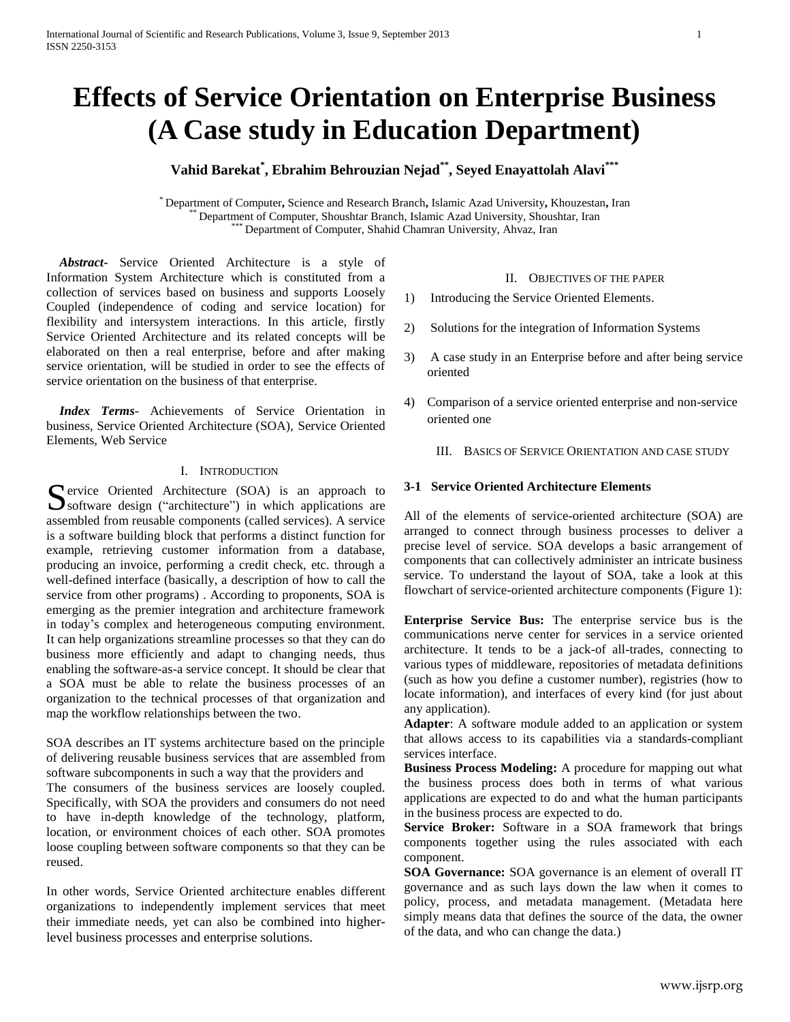# **Effects of Service Orientation on Enterprise Business (A Case study in Education Department)**

# **Vahid Barekat\* , Ebrahim Behrouzian Nejad\*\*, Seyed Enayattolah Alavi\*\*\***

\* Department of Computer**,** Science and Research Branch**,** Islamic Azad University**,** Khouzestan**,** Iran Department of Computer, Shoushtar Branch, Islamic Azad University, Shoushtar, Iran Department of Computer, Shahid Chamran University, Ahvaz, Iran

 *Abstract***-** Service Oriented Architecture is a style of Information System Architecture which is constituted from a collection of services based on business and supports Loosely Coupled (independence of coding and service location) for flexibility and intersystem interactions. In this article, firstly Service Oriented Architecture and its related concepts will be elaborated on then a real enterprise, before and after making service orientation, will be studied in order to see the effects of service orientation on the business of that enterprise.

 *Index Terms*- Achievements of Service Orientation in business, Service Oriented Architecture (SOA), Service Oriented Elements, Web Service

# I. INTRODUCTION

**C** ervice Oriented Architecture (SOA) is an approach to Service Oriented Architecture (SOA) is an approach to software design ("architecture") in which applications are assembled from reusable components (called services). A service is a software building block that performs a distinct function for example, retrieving customer information from a database, producing an invoice, performing a credit check, etc. through a well-defined interface (basically, a description of how to call the service from other programs) . According to proponents, SOA is emerging as the premier integration and architecture framework in today's complex and heterogeneous computing environment. It can help organizations streamline processes so that they can do business more efficiently and adapt to changing needs, thus enabling the software-as-a service concept. It should be clear that a SOA must be able to relate the business processes of an organization to the technical processes of that organization and map the workflow relationships between the two.

SOA describes an IT systems architecture based on the principle of delivering reusable business services that are assembled from software subcomponents in such a way that the providers and The consumers of the business services are loosely coupled. Specifically, with SOA the providers and consumers do not need to have in-depth knowledge of the technology, platform, location, or environment choices of each other. SOA promotes loose coupling between software components so that they can be reused.

In other words, Service Oriented architecture enables different organizations to independently implement services that meet their immediate needs, yet can also be combined into higherlevel business processes and enterprise solutions.

#### II. OBJECTIVES OF THE PAPER

- 1) Introducing the Service Oriented Elements.
- 2) Solutions for the integration of Information Systems
- 3) A case study in an Enterprise before and after being service oriented
- 4) Comparison of a service oriented enterprise and non-service oriented one
	- III. BASICS OF SERVICE ORIENTATION AND CASE STUDY

# **3-1 Service Oriented Architecture Elements**

All of the elements of service-oriented architecture (SOA) are arranged to connect through business processes to deliver a precise level of service. SOA develops a basic arrangement of components that can collectively administer an intricate business service. To understand the layout of SOA, take a look at this flowchart of service-oriented architecture components (Figure 1):

**Enterprise Service Bus:** The enterprise service bus is the communications nerve center for services in a service oriented architecture. It tends to be a jack-of all-trades, connecting to various types of middleware, repositories of metadata definitions (such as how you define a customer number), registries (how to locate information), and interfaces of every kind (for just about any application).

**Adapter**: A software module added to an application or system that allows access to its capabilities via a standards-compliant services interface.

**Business Process Modeling:** A procedure for mapping out what the business process does both in terms of what various applications are expected to do and what the human participants in the business process are expected to do.

**Service Broker:** Software in a SOA framework that brings components together using the rules associated with each component.

**SOA Governance:** SOA governance is an element of overall IT governance and as such lays down the law when it comes to policy, process, and metadata management. (Metadata here simply means data that defines the source of the data, the owner of the data, and who can change the data.)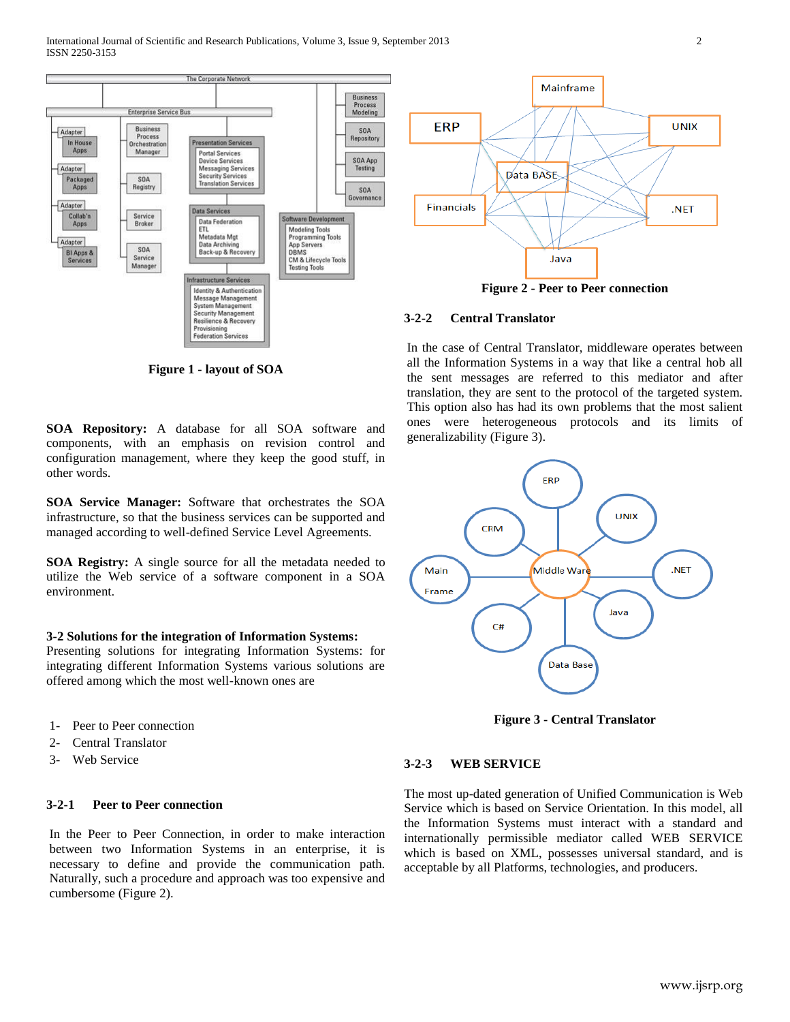

Mainframe **ERP UNIX** Data BASE **Financials** .NET Java

**Figure 2 - Peer to Peer connection**

# **3-2-2 Central Translator**

**Figure 1 - layout of SOA**

**SOA Repository:** A database for all SOA software and components, with an emphasis on revision control and configuration management, where they keep the good stuff, in other words.

**SOA Service Manager:** Software that orchestrates the SOA infrastructure, so that the business services can be supported and managed according to well-defined Service Level Agreements.

**SOA Registry:** A single source for all the metadata needed to utilize the Web service of a software component in a SOA environment.

#### **3-2 Solutions for the integration of Information Systems:**

Presenting solutions for integrating Information Systems: for integrating different Information Systems various solutions are offered among which the most well-known ones are

- 1- Peer to Peer connection
- 2- Central Translator
- 3- Web Service

## **3-2-1 Peer to Peer connection**

In the Peer to Peer Connection, in order to make interaction between two Information Systems in an enterprise, it is necessary to define and provide the communication path. Naturally, such a procedure and approach was too expensive and cumbersome (Figure 2).

In the case of Central Translator, middleware operates between all the Information Systems in a way that like a central hob all the sent messages are referred to this mediator and after translation, they are sent to the protocol of the targeted system. This option also has had its own problems that the most salient ones were heterogeneous protocols and its limits of generalizability (Figure 3).



**Figure 3 - Central Translator**

#### **3-2-3 WEB SERVICE**

The most up-dated generation of Unified Communication is Web Service which is based on Service Orientation. In this model, all the Information Systems must interact with a standard and internationally permissible mediator called WEB SERVICE which is based on XML, possesses universal standard, and is acceptable by all Platforms, technologies, and producers.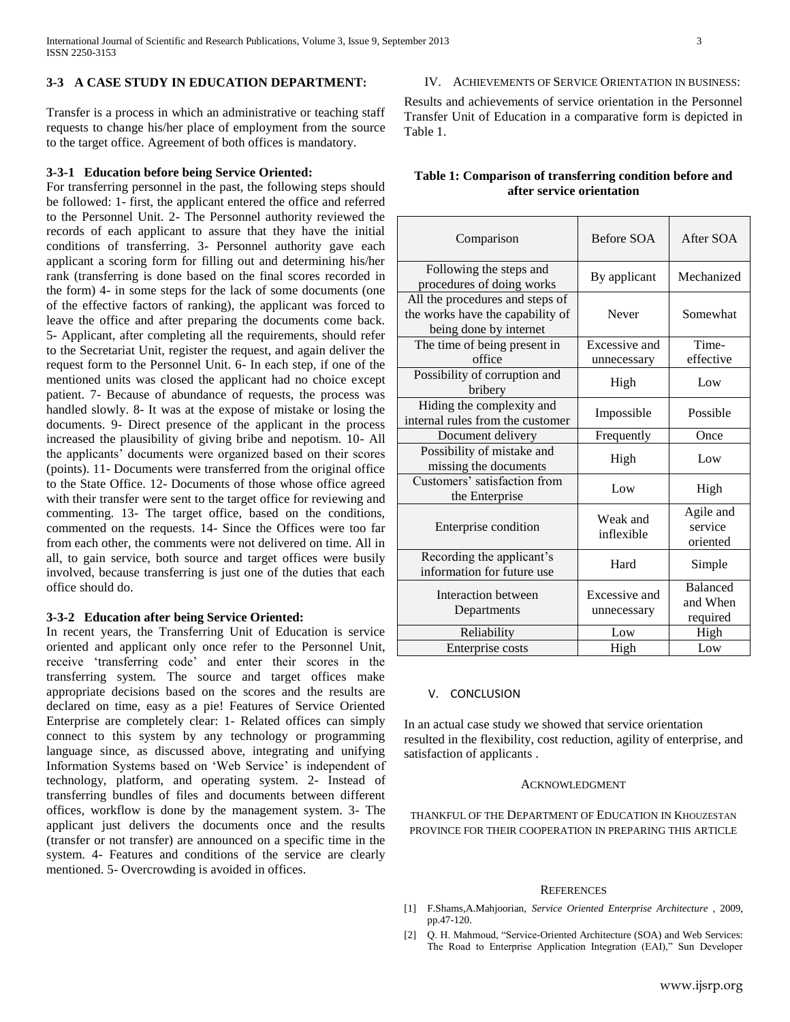## **3-3 A CASE STUDY IN EDUCATION DEPARTMENT:**

Transfer is a process in which an administrative or teaching staff requests to change his/her place of employment from the source to the target office. Agreement of both offices is mandatory.

#### **3-3-1 Education before being Service Oriented:**

For transferring personnel in the past, the following steps should be followed: 1- first, the applicant entered the office and referred to the Personnel Unit. 2- The Personnel authority reviewed the records of each applicant to assure that they have the initial conditions of transferring. 3- Personnel authority gave each applicant a scoring form for filling out and determining his/her rank (transferring is done based on the final scores recorded in the form) 4- in some steps for the lack of some documents (one of the effective factors of ranking), the applicant was forced to leave the office and after preparing the documents come back. 5- Applicant, after completing all the requirements, should refer to the Secretariat Unit, register the request, and again deliver the request form to the Personnel Unit. 6- In each step, if one of the mentioned units was closed the applicant had no choice except patient. 7- Because of abundance of requests, the process was handled slowly. 8- It was at the expose of mistake or losing the documents. 9- Direct presence of the applicant in the process increased the plausibility of giving bribe and nepotism. 10- All the applicants' documents were organized based on their scores (points). 11- Documents were transferred from the original office to the State Office. 12- Documents of those whose office agreed with their transfer were sent to the target office for reviewing and commenting. 13- The target office, based on the conditions, commented on the requests. 14- Since the Offices were too far from each other, the comments were not delivered on time. All in all, to gain service, both source and target offices were busily involved, because transferring is just one of the duties that each office should do.

#### **3-3-2 Education after being Service Oriented:**

In recent years, the Transferring Unit of Education is service oriented and applicant only once refer to the Personnel Unit, receive 'transferring code' and enter their scores in the transferring system. The source and target offices make appropriate decisions based on the scores and the results are declared on time, easy as a pie! Features of Service Oriented Enterprise are completely clear: 1- Related offices can simply connect to this system by any technology or programming language since, as discussed above, integrating and unifying Information Systems based on 'Web Service' is independent of technology, platform, and operating system. 2- Instead of transferring bundles of files and documents between different offices, workflow is done by the management system. 3- The applicant just delivers the documents once and the results (transfer or not transfer) are announced on a specific time in the system. 4- Features and conditions of the service are clearly mentioned. 5- Overcrowding is avoided in offices.

# IV. ACHIEVEMENTS OF SERVICE ORIENTATION IN BUSINESS:

Results and achievements of service orientation in the Personnel Transfer Unit of Education in a comparative form is depicted in Table 1.

# **Table 1: Comparison of transferring condition before and after service orientation**

| Comparison                                                                                    | Before SOA                   | After SOA                               |
|-----------------------------------------------------------------------------------------------|------------------------------|-----------------------------------------|
| Following the steps and<br>procedures of doing works                                          | By applicant                 | Mechanized                              |
| All the procedures and steps of<br>the works have the capability of<br>being done by internet | Never                        | Somewhat                                |
| The time of being present in<br>office                                                        | Excessive and<br>unnecessary | Time-<br>effective                      |
| Possibility of corruption and<br>bribery                                                      | High                         | Low                                     |
| Hiding the complexity and<br>internal rules from the customer                                 | Impossible                   | Possible                                |
| Document delivery                                                                             | Frequently                   | Once                                    |
| Possibility of mistake and<br>missing the documents                                           | High                         | Low                                     |
| Customers' satisfaction from<br>the Enterprise                                                | Low                          | High                                    |
| Enterprise condition                                                                          | Weak and<br>inflexible       | Agile and<br>service<br>oriented        |
| Recording the applicant's<br>information for future use                                       | Hard                         | Simple                                  |
| Interaction between<br>Departments                                                            | Excessive and<br>unnecessary | <b>Balanced</b><br>and When<br>required |
| Reliability                                                                                   | Low                          | High                                    |
| Enterprise costs                                                                              | High                         | Low                                     |

#### V. CONCLUSION

In an actual case study we showed that service orientation resulted in the flexibility, cost reduction, agility of enterprise, and satisfaction of applicants .

#### ACKNOWLEDGMENT

THANKFUL OF THE DEPARTMENT OF EDUCATION IN KHOUZESTAN PROVINCE FOR THEIR COOPERATION IN PREPARING THIS ARTICLE

#### **REFERENCES**

- [1] F.Shams,A.Mahjoorian, *Service Oriented Enterprise Architecture* , 2009, pp.47-120.
- [2] Q. H. Mahmoud, "Service-Oriented Architecture (SOA) and Web Services: The Road to Enterprise Application Integration (EAI)," Sun Developer